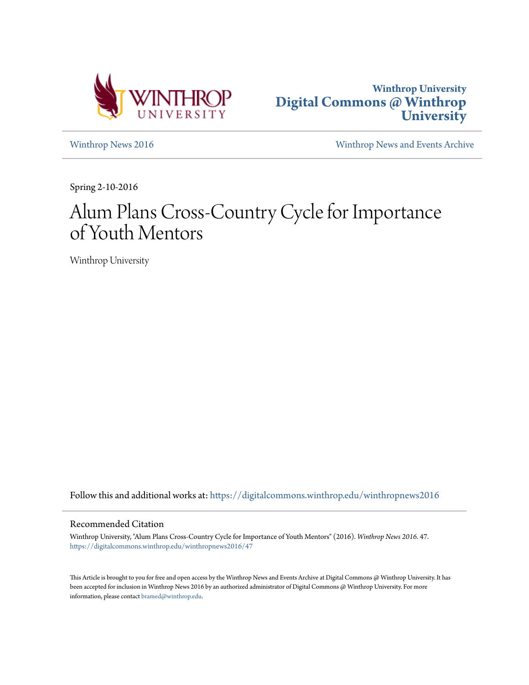



[Winthrop News 2016](https://digitalcommons.winthrop.edu/winthropnews2016?utm_source=digitalcommons.winthrop.edu%2Fwinthropnews2016%2F47&utm_medium=PDF&utm_campaign=PDFCoverPages) [Winthrop News and Events Archive](https://digitalcommons.winthrop.edu/winthropnewsarchives?utm_source=digitalcommons.winthrop.edu%2Fwinthropnews2016%2F47&utm_medium=PDF&utm_campaign=PDFCoverPages)

Spring 2-10-2016

## Alum Plans Cross-Country Cycle for Importance of Youth Mentors

Winthrop University

Follow this and additional works at: [https://digitalcommons.winthrop.edu/winthropnews2016](https://digitalcommons.winthrop.edu/winthropnews2016?utm_source=digitalcommons.winthrop.edu%2Fwinthropnews2016%2F47&utm_medium=PDF&utm_campaign=PDFCoverPages)

### Recommended Citation

Winthrop University, "Alum Plans Cross-Country Cycle for Importance of Youth Mentors" (2016). *Winthrop News 2016*. 47. [https://digitalcommons.winthrop.edu/winthropnews2016/47](https://digitalcommons.winthrop.edu/winthropnews2016/47?utm_source=digitalcommons.winthrop.edu%2Fwinthropnews2016%2F47&utm_medium=PDF&utm_campaign=PDFCoverPages)

This Article is brought to you for free and open access by the Winthrop News and Events Archive at Digital Commons @ Winthrop University. It has been accepted for inclusion in Winthrop News 2016 by an authorized administrator of Digital Commons @ Winthrop University. For more information, please contact [bramed@winthrop.edu](mailto:bramed@winthrop.edu).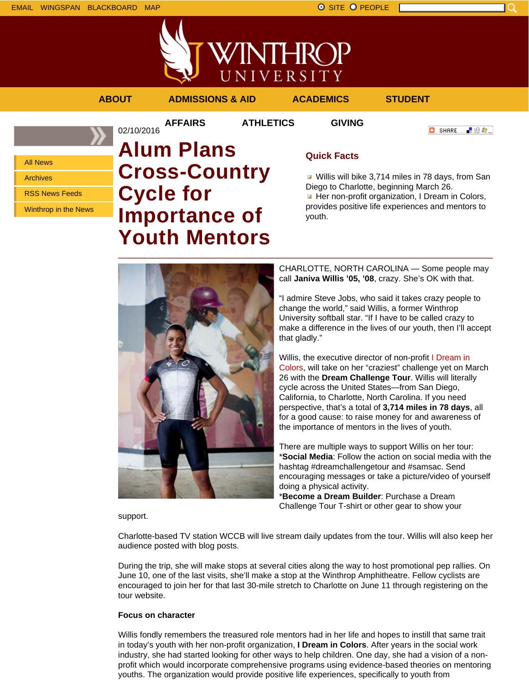All News Archives

RSS News Feeds





### **ABOUT ADMISSIONS & AID ACADEMICS STUDENT**

02/10/2016

**AFFAIRS ATHLETICS GIVING**



Winthrop in the News **Cycle for**

# **Alum Plans Cross-Country Importance of Youth Mentors**

### **Quick Facts**

Willis will bike 3,714 miles in 78 days, from San Diego to Charlotte, beginning March 26. Her non-profit organization, I Dream in Colors, provides positive life experiences and mentors to youth.



CHARLOTTE, NORTH CAROLINA — Some people may call **Janiva Willis '05, '08**, crazy. She's OK with that.

"I admire Steve Jobs, who said it takes crazy people to change the world," said Willis, a former Winthrop University softball star. "If I have to be called crazy to make a difference in the lives of our youth, then I'll accept that gladly."

Willis, the executive director of non-profit I Dream in Colors, will take on her "craziest" challenge yet on March 26 with the **Dream Challenge Tour**. Willis will literally cycle across the United States—from San Diego, California, to Charlotte, North Carolina. If you need perspective, that's a total of **3,714 miles in 78 days**, all for a good cause: to raise money for and awareness of the importance of mentors in the lives of youth.

There are multiple ways to support Willis on her tour: \***Social Media**: Follow the action on social media with the hashtag #dreamchallengetour and #samsac. Send encouraging messages or take a picture/video of yourself doing a physical activity.

\***Become a Dream Builder**: Purchase a Dream Challenge Tour T-shirt or other gear to show your

support.

Charlotte-based TV station WCCB will live stream daily updates from the tour. Willis will also keep her audience posted with blog posts.

During the trip, she will make stops at several cities along the way to host promotional pep rallies. On June 10, one of the last visits, she'll make a stop at the Winthrop Amphitheatre. Fellow cyclists are encouraged to join her for that last 30-mile stretch to Charlotte on June 11 through registering on the tour website.

### **Focus on character**

Willis fondly remembers the treasured role mentors had in her life and hopes to instill that same trait in today's youth with her non-profit organization, **I Dream in Colors**. After years in the social work industry, she had started looking for other ways to help children. One day, she had a vision of a nonprofit which would incorporate comprehensive programs using evidence-based theories on mentoring youths. The organization would provide positive life experiences, specifically to youth from